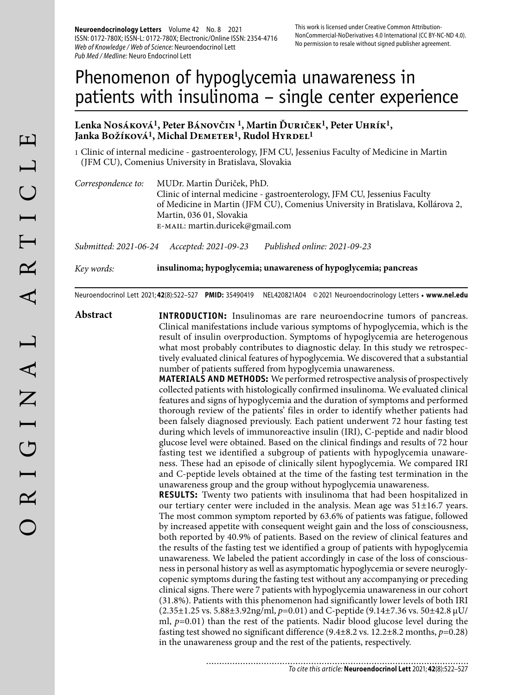**Neuroendocrinology Letters** Volume 42 No. 8 2021 ISSN: 0172-780X; ISSN-L: 0172-780X; Electronic/Online ISSN: 2354-4716 Web of Knowledge / Web of Science: Neuroendocrinol Lett Pub Med / Medline: Neuro Endocrinol Lett

# Phenomenon of hypoglycemia unawareness in patients with insulinoma – single center experience

#### **Lenka Nosáková1, Peter Bánovčin 1, Martin Ďuriček1, Peter Uhrík1,**  Janka Božíková<sup>1</sup>, Michal Demeter<sup>1</sup>, Rudol Hyrdel<sup>1</sup>

1 Clinic of internal medicine - gastroenterology, JFM CU, Jessenius Faculty of Medicine in Martin (JFM CU), Comenius University in Bratislava, Slovakia

*Correspondence to:* MUDr. Martin Ďuriček, PhD. Clinic of internal medicine - gastroenterology, JFM CU, Jessenius Faculty of Medicine in Martin (JFM CU), Comenius University in Bratislava, Kollárova 2, Martin, 036 01, Slovakia e-mail: martin.duricek@gmail.com

*Submitted: 2021-06-24 Accepted: 2021-09-23 Published online: 2021-09-23*

*Key words:* **insulinoma; hypoglycemia; unawareness of hypoglycemia; pancreas** 

Neuroendocrinol Lett 2021; **42**(8):522–527 **PMID:** 35490419 NEL420821A04 © 2021 Neuroendocrinology Letters • **www.nel.edu**

**Abstract INTRODUCTION:** Insulinomas are rare neuroendocrine tumors of pancreas. Clinical manifestations include various symptoms of hypoglycemia, which is the result of insulin overproduction. Symptoms of hypoglycemia are heterogenous what most probably contributes to diagnostic delay. In this study we retrospectively evaluated clinical features of hypoglycemia. We discovered that a substantial number of patients suffered from hypoglycemia unawareness.

> **MATERIALS AND METHODS:** We performed retrospective analysis of prospectively collected patients with histologically confirmed insulinoma. We evaluated clinical features and signs of hypoglycemia and the duration of symptoms and performed thorough review of the patients' files in order to identify whether patients had been falsely diagnosed previously. Each patient underwent 72 hour fasting test during which levels of immunoreactive insulin (IRI), C-peptide and nadir blood glucose level were obtained. Based on the clinical findings and results of 72 hour fasting test we identified a subgroup of patients with hypoglycemia unawareness. These had an episode of clinically silent hypoglycemia. We compared IRI and C-peptide levels obtained at the time of the fasting test termination in the unawareness group and the group without hypoglycemia unawareness.

> **RESULTS:** Twenty two patients with insulinoma that had been hospitalized in our tertiary center were included in the analysis. Mean age was 51±16.7 years. The most common symptom reported by 63.6% of patients was fatigue, followed by increased appetite with consequent weight gain and the loss of consciousness, both reported by 40.9% of patients. Based on the review of clinical features and the results of the fasting test we identified a group of patients with hypoglycemia unawareness. We labeled the patient accordingly in case of the loss of consciousness in personal history as well as asymptomatic hypoglycemia or severe neuroglycopenic symptoms during the fasting test without any accompanying or preceding clinical signs. There were 7 patients with hypoglycemia unawareness in our cohort (31.8%). Patients with this phenomenon had significantly lower levels of both IRI (2.35±1.25 vs. 5.88±3.92ng/ml, *p*=0.01) and C-peptide (9.14±7.36 vs. 50±42.8 μU/ ml, *p*=0.01) than the rest of the patients. Nadir blood glucose level during the fasting test showed no significant difference (9.4±8.2 vs. 12.2±8.2 months, *p*=0.28) in the unawareness group and the rest of the patients, respectively.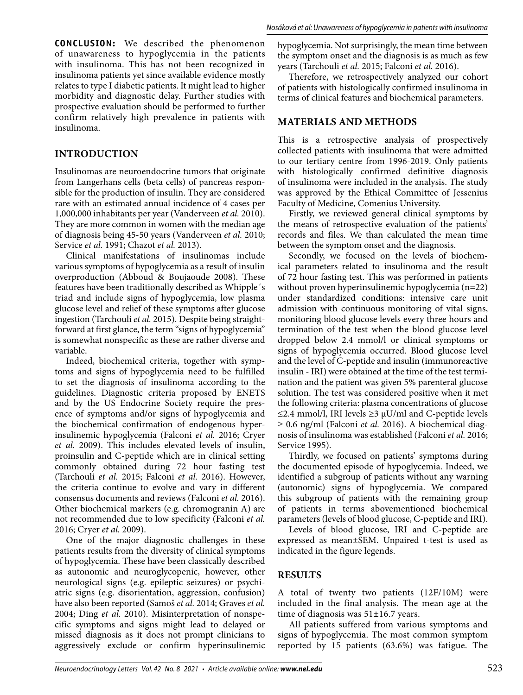**CONCLUSION:** We described the phenomenon of unawareness to hypoglycemia in the patients with insulinoma. This has not been recognized in insulinoma patients yet since available evidence mostly relates to type I diabetic patients. It might lead to higher morbidity and diagnostic delay. Further studies with prospective evaluation should be performed to further confirm relatively high prevalence in patients with insulinoma.

### **INTRODUCTION**

Insulinomas are neuroendocrine tumors that originate from Langerhans cells (beta cells) of pancreas responsible for the production of insulin. They are considered rare with an estimated annual incidence of 4 cases per 1,000,000 inhabitants per year (Vanderveen *et al.* 2010). They are more common in women with the median age of diagnosis being 45-50 years (Vanderveen *et al.* 2010; Service *et al.* 1991; Chazot *et al.* 2013).

Clinical manifestations of insulinomas include various symptoms of hypoglycemia as a result of insulin overproduction (Abboud & Boujaoude 2008). These features have been traditionally described as Whipple´s triad and include signs of hypoglycemia, low plasma glucose level and relief of these symptoms after glucose ingestion (Tarchouli *et al.* 2015). Despite being straightforward at first glance, the term "signs of hypoglycemia" is somewhat nonspecific as these are rather diverse and variable.

Indeed, biochemical criteria, together with symptoms and signs of hypoglycemia need to be fulfilled to set the diagnosis of insulinoma according to the guidelines. Diagnostic criteria proposed by ENETS and by the US Endocrine Society require the presence of symptoms and/or signs of hypoglycemia and the biochemical confirmation of endogenous hyperinsulinemic hypoglycemia (Falconi *et al.* 2016; Cryer *et al.* 2009). This includes elevated levels of insulin, proinsulin and C-peptide which are in clinical setting commonly obtained during 72 hour fasting test (Tarchouli *et al.* 2015; Falconi *et al.* 2016). However, the criteria continue to evolve and vary in different consensus documents and reviews (Falconi *et al.* 2016). Other biochemical markers (e.g. chromogranin A) are not recommended due to low specificity (Falconi *et al.* 2016; Cryer *et al.* 2009).

One of the major diagnostic challenges in these patients results from the diversity of clinical symptoms of hypoglycemia. These have been classically described as autonomic and neuroglycopenic, however, other neurological signs (e.g. epileptic seizures) or psychiatric signs (e.g. disorientation, aggression, confusion) have also been reported (Samoš *et al.* 2014; Graves *et al.* 2004; Ding *et al.* 2010). Misinterpretation of nonspecific symptoms and signs might lead to delayed or missed diagnosis as it does not prompt clinicians to aggressively exclude or confirm hyperinsulinemic

hypoglycemia. Not surprisingly, the mean time between the symptom onset and the diagnosis is as much as few years (Tarchouli *et al.* 2015; Falconi *et al.* 2016).

Therefore, we retrospectively analyzed our cohort of patients with histologically confirmed insulinoma in terms of clinical features and biochemical parameters.

#### **MATERIALS AND METHODS**

This is a retrospective analysis of prospectively collected patients with insulinoma that were admitted to our tertiary centre from 1996-2019. Only patients with histologically confirmed definitive diagnosis of insulinoma were included in the analysis. The study was approved by the Ethical Committee of Jessenius Faculty of Medicine, Comenius University.

Firstly, we reviewed general clinical symptoms by the means of retrospective evaluation of the patients' records and files. We than calculated the mean time between the symptom onset and the diagnosis.

Secondly, we focused on the levels of biochemical parameters related to insulinoma and the result of 72 hour fasting test. This was performed in patients without proven hyperinsulinemic hypoglycemia (n=22) under standardized conditions: intensive care unit admission with continuous monitoring of vital signs, monitoring blood glucose levels every three hours and termination of the test when the blood glucose level dropped below 2.4 mmol/l or clinical symptoms or signs of hypoglycemia occurred. Blood glucose level and the level of C-peptide and insulin (immunoreactive insulin - IRI) were obtained at the time of the test termination and the patient was given 5% parenteral glucose solution. The test was considered positive when it met the following criteria: plasma concentrations of glucose  $≤2.4$  mmol/l, IRI levels  $≥3$  μU/ml and C-peptide levels ≥ 0.6 ng/ml (Falconi *et al.* 2016). A biochemical diagnosis of insulinoma was established (Falconi *et al.* 2016; Service 1995).

Thirdly, we focused on patients' symptoms during the documented episode of hypoglycemia. Indeed, we identified a subgroup of patients without any warning (autonomic) signs of hypoglycemia. We compared this subgroup of patients with the remaining group of patients in terms abovementioned biochemical parameters (levels of blood glucose, C-peptide and IRI).

Levels of blood glucose, IRI and C-peptide are expressed as mean±SEM. Unpaired t-test is used as indicated in the figure legends.

#### **RESULTS**

A total of twenty two patients (12F/10M) were included in the final analysis. The mean age at the time of diagnosis was 51±16.7 years.

All patients suffered from various symptoms and signs of hypoglycemia. The most common symptom reported by 15 patients (63.6%) was fatigue. The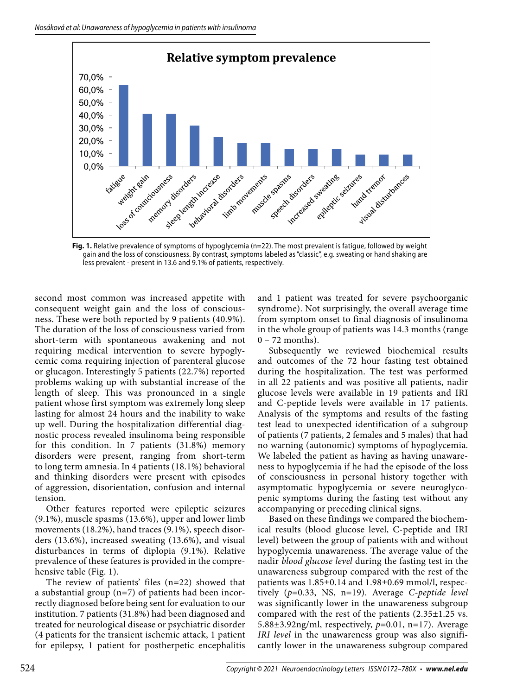

**Fig. 1.** Relative prevalence of symptoms of hypoglycemia (n=22). The most prevalent is fatigue, followed by weight gain and the loss of consciousness. By contrast, symptoms labeled as "classic", e.g. sweating or hand shaking are less prevalent - present in 13.6 and 9.1% of patients, respectively.

second most common was increased appetite with consequent weight gain and the loss of consciousness. These were both reported by 9 patients (40.9%). The duration of the loss of consciousness varied from short-term with spontaneous awakening and not requiring medical intervention to severe hypoglycemic coma requiring injection of parenteral glucose or glucagon. Interestingly 5 patients (22.7%) reported problems waking up with substantial increase of the length of sleep. This was pronounced in a single patient whose first symptom was extremely long sleep lasting for almost 24 hours and the inability to wake up well. During the hospitalization differential diagnostic process revealed insulinoma being responsible for this condition. In 7 patients (31.8%) memory disorders were present, ranging from short-term to long term amnesia. In 4 patients (18.1%) behavioral and thinking disorders were present with episodes of aggression, disorientation, confusion and internal tension.

Other features reported were epileptic seizures (9.1%), muscle spasms (13.6%), upper and lower limb movements (18.2%), hand traces (9.1%), speech disorders (13.6%), increased sweating (13.6%), and visual disturbances in terms of diplopia (9.1%). Relative prevalence of these features is provided in the comprehensive table (Fig. 1).

The review of patients' files (n=22) showed that a substantial group (n=7) of patients had been incorrectly diagnosed before being sent for evaluation to our institution. 7 patients (31.8%) had been diagnosed and treated for neurological disease or psychiatric disorder (4 patients for the transient ischemic attack, 1 patient for epilepsy, 1 patient for postherpetic encephalitis

and 1 patient was treated for severe psychoorganic syndrome). Not surprisingly, the overall average time from symptom onset to final diagnosis of insulinoma in the whole group of patients was 14.3 months (range 0 – 72 months).

Subsequently we reviewed biochemical results and outcomes of the 72 hour fasting test obtained during the hospitalization. The test was performed in all 22 patients and was positive all patients, nadir glucose levels were available in 19 patients and IRI and C-peptide levels were available in 17 patients. Analysis of the symptoms and results of the fasting test lead to unexpected identification of a subgroup of patients (7 patients, 2 females and 5 males) that had no warning (autonomic) symptoms of hypoglycemia. We labeled the patient as having as having unawareness to hypoglycemia if he had the episode of the loss of consciousness in personal history together with asymptomatic hypoglycemia or severe neuroglycopenic symptoms during the fasting test without any accompanying or preceding clinical signs.

Based on these findings we compared the biochemical results (blood glucose level, C-peptide and IRI level) between the group of patients with and without hypoglycemia unawareness. The average value of the nadir *blood glucose level* during the fasting test in the unawareness subgroup compared with the rest of the patients was 1.85±0.14 and 1.98±0.69 mmol/l, respectively (*p*=0.33, NS, n=19). Average *C-peptide level* was significantly lower in the unawareness subgroup compared with the rest of the patients  $(2.35\pm1.25 \text{ vs.})$ 5.88±3.92ng/ml, respectively, *p*=0.01, n=17). Average *IRI level* in the unawareness group was also significantly lower in the unawareness subgroup compared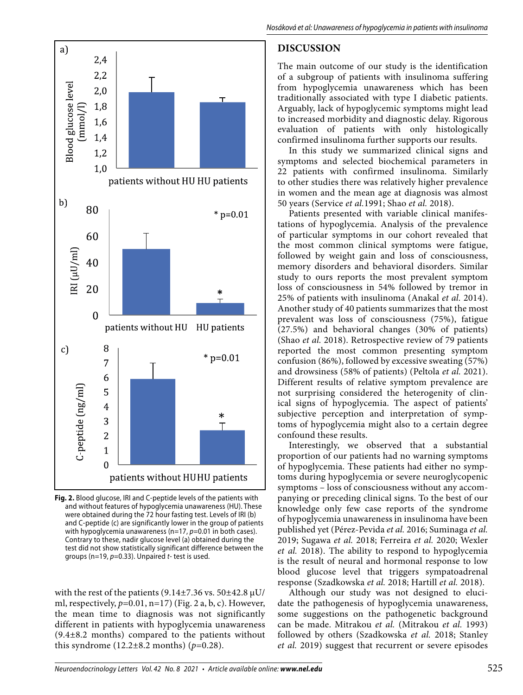

**Fig. 2.** Blood glucose, IRI and C-peptide levels of the patients with and without features of hypoglycemia unawareness (HU). These were obtained during the 72 hour fasting test. Levels of IRI (b) and C-peptide (c) are significantly lower in the group of patients with hypoglycemia unawareness (n=17,  $p=0.01$  in both cases). Contrary to these, nadir glucose level (a) obtained during the test did not show statistically significant difference between the groups (n=19,  $p=0.33$ ). Unpaired  $t$ - test is used.

with the rest of the patients (9.14 $\pm$ 7.36 vs. 50 $\pm$ 42.8  $\mu$ U/ ml, respectively, *p*=0.01, n=17) (Fig. 2 a, b, c). However, the mean time to diagnosis was not significantly different in patients with hypoglycemia unawareness (9.4±8.2 months) compared to the patients without this syndrome  $(12.2 \pm 8.2 \text{ months})$  ( $p=0.28$ ).

## **DISCUSSION**

The main outcome of our study is the identification of a subgroup of patients with insulinoma suffering from hypoglycemia unawareness which has been traditionally associated with type I diabetic patients. Arguably, lack of hypoglycemic symptoms might lead to increased morbidity and diagnostic delay. Rigorous evaluation of patients with only histologically confirmed insulinoma further supports our results.

In this study we summarized clinical signs and symptoms and selected biochemical parameters in 22 patients with confirmed insulinoma. Similarly to other studies there was relatively higher prevalence in women and the mean age at diagnosis was almost 50 years (Service *et al.*1991; Shao *et al.* 2018).

Patients presented with variable clinical manifestations of hypoglycemia. Analysis of the prevalence of particular symptoms in our cohort revealed that the most common clinical symptoms were fatigue, followed by weight gain and loss of consciousness, memory disorders and behavioral disorders. Similar study to ours reports the most prevalent symptom loss of consciousness in 54% followed by tremor in 25% of patients with insulinoma (Anakal *et al.* 2014). Another study of 40 patients summarizes that the most prevalent was loss of consciousness (75%), fatigue (27.5%) and behavioral changes (30% of patients) (Shao *et al.* 2018). Retrospective review of 79 patients reported the most common presenting symptom confusion (86%), followed by excessive sweating (57%) and drowsiness (58% of patients) (Peltola *et al.* 2021). Different results of relative symptom prevalence are not surprising considered the heterogenity of clinical signs of hypoglycemia. The aspect of patients' subjective perception and interpretation of symptoms of hypoglycemia might also to a certain degree confound these results.

Interestingly, we observed that a substantial proportion of our patients had no warning symptoms of hypoglycemia. These patients had either no symptoms during hypoglycemia or severe neuroglycopenic symptoms – loss of consciousness without any accompanying or preceding clinical signs. To the best of our knowledge only few case reports of the syndrome of hypoglycemia unawareness in insulinoma have been published yet (Pérez-Pevida *et al.* 2016; Suminaga *et al.* 2019; Sugawa *et al.* 2018; Ferreira *et al.* 2020; Wexler *et al.* 2018). The ability to respond to hypoglycemia is the result of neural and hormonal response to low blood glucose level that triggers sympatoadrenal response (Szadkowska *et al.* 2018; Hartill *et al.* 2018).

Although our study was not designed to elucidate the pathogenesis of hypoglycemia unawareness, some suggestions on the pathogenetic background can be made. Mitrakou *et al.* (Mitrakou *et al.* 1993) followed by others (Szadkowska *et al.* 2018; Stanley *et al.* 2019) suggest that recurrent or severe episodes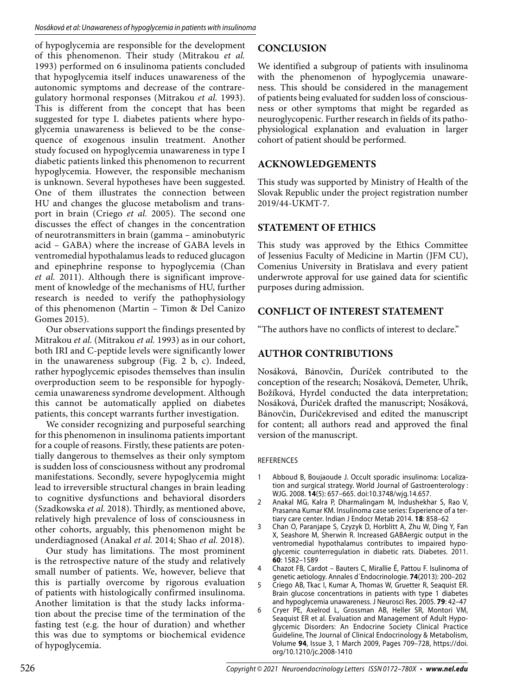of hypoglycemia are responsible for the development of this phenomenon. Their study (Mitrakou *et al.* 1993) performed on 6 insulinoma patients concluded that hypoglycemia itself induces unawareness of the autonomic symptoms and decrease of the contraregulatory hormonal responses (Mitrakou *et al.* 1993). This is different from the concept that has been suggested for type I. diabetes patients where hypoglycemia unawareness is believed to be the consequence of exogenous insulin treatment. Another study focused on hypoglycemia unawareness in type I diabetic patients linked this phenomenon to recurrent hypoglycemia. However, the responsible mechanism is unknown. Several hypotheses have been suggested. One of them illustrates the connection between HU and changes the glucose metabolism and transport in brain (Criego *et al.* 2005). The second one discusses the effect of changes in the concentration of neurotransmitters in brain (gamma – aminobutyric acid – GABA) where the increase of GABA levels in ventromedial hypothalamus leads to reduced glucagon and epinephrine response to hypoglycemia (Chan *et al.* 2011). Although there is significant improvement of knowledge of the mechanisms of HU, further research is needed to verify the pathophysiology of this phenomenon (Martin – Timon & Del Canizo Gomes 2015).

Our observations support the findings presented by Mitrakou *et al.* (Mitrakou *et al.* 1993) as in our cohort, both IRI and C-peptide levels were significantly lower in the unawareness subgroup (Fig. 2 b, c). Indeed, rather hypoglycemic episodes themselves than insulin overproduction seem to be responsible for hypoglycemia unawareness syndrome development. Although this cannot be automatically applied on diabetes patients, this concept warrants further investigation.

We consider recognizing and purposeful searching for this phenomenon in insulinoma patients important for a couple of reasons. Firstly, these patients are potentially dangerous to themselves as their only symptom is sudden loss of consciousness without any prodromal manifestations. Secondly, severe hypoglycemia might lead to irreversible structural changes in brain leading to cognitive dysfunctions and behavioral disorders (Szadkowska *et al.* 2018). Thirdly, as mentioned above, relatively high prevalence of loss of consciousness in other cohorts, arguably, this phenomenon might be underdiagnosed (Anakal *et al.* 2014; Shao *et al.* 2018).

Our study has limitations. The most prominent is the retrospective nature of the study and relatively small number of patients. We, however, believe that this is partially overcome by rigorous evaluation of patients with histologically confirmed insulinoma. Another limitation is that the study lacks information about the precise time of the termination of the fasting test (e.g. the hour of duration) and whether this was due to symptoms or biochemical evidence of hypoglycemia.

# **CONCLUSION**

We identified a subgroup of patients with insulinoma with the phenomenon of hypoglycemia unawareness. This should be considered in the management of patients being evaluated for sudden loss of consciousness or other symptoms that might be regarded as neuroglycopenic. Further research in fields of its pathophysiological explanation and evaluation in larger cohort of patient should be performed.

# **ACKNOWLEDGEMENTS**

This study was supported by Ministry of Health of the Slovak Republic under the project registration number 2019/44-UKMT-7.

# **STATEMENT OF ETHICS**

This study was approved by the Ethics Committee of Jessenius Faculty of Medicine in Martin (JFM CU), Comenius University in Bratislava and every patient underwrote approval for use gained data for scientific purposes during admission.

# **CONFLICT OF INTEREST STATEMENT**

"The authors have no conflicts of interest to declare."

# **AUTHOR CONTRIBUTIONS**

Nosáková, Bánovčin, Ďuríček contributed to the conception of the research; Nosáková, Demeter, Uhrík, Božíková, Hyrdel conducted the data interpretation; Nosáková, Ďuriček drafted the manuscript; Nosáková, Bánovčin, Ďuričekrevised and edited the manuscript for content; all authors read and approved the final version of the manuscript.

#### REFERENCES

- 1 Abboud B, Boujaoude J. Occult sporadic insulinoma: Localization and surgical strategy. World Journal of Gastroenterology : WJG. 2008. **14**(5): 657–665. doi:10.3748/wjg.14.657.
- 2 Anakal MG, Kalra P, Dharmalingam M, Indushekhar S, Rao V, Prasanna Kumar KM. Insulinoma case series: Experience of a tertiary care center. Indian J Endocr Metab 2014. **18**: 858–62
- 3 Chan O, Paranjape S, Czyzyk D, Horblitt A, Zhu W, Ding Y, Fan X, Seashore M, Sherwin R. Increased GABAergic output in the ventromedial hypothalamus contributes to impaired hypoglycemic counterregulation in diabetic rats. Diabetes. 2011. **60**: 1582–1589
- 4 Chazot FB, Cardot Bauters C, Mirallie É, Pattou F. Isulinoma of genetic aetiology. Annales d´Endocrinologie. **74**(2013): 200–202
- 5 Criego AB, Tkac I, Kumar A, Thomas W, Gruetter R, Seaquist ER. Brain glucose concentrations in patients with type 1 diabetes and hypoglycemia unawareness. J Neurosci Res. 2005. **79**: 42–47
- 6 Cryer PE, Axelrod L, Grossman AB, Heller SR, Montori VM, Seaquist ER et al. Evaluation and Management of Adult Hypoglycemic Disorders: An Endocrine Society Clinical Practice Guideline, The Journal of Clinical Endocrinology & Metabolism, Volume **94**, Issue 3, 1 March 2009, Pages 709–728, https://doi. org/10.1210/jc.2008-1410